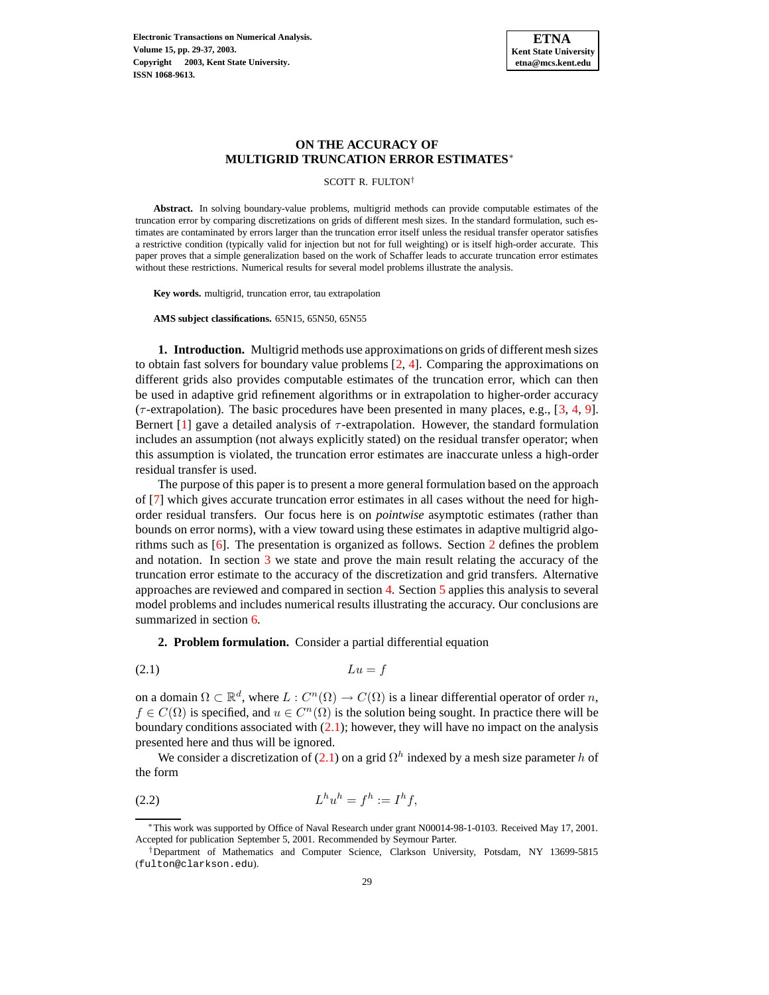# **ON THE ACCURACY OF MULTIGRID TRUNCATION ERROR ESTIMATES**<sup>∗</sup>

SCOTT R. FULTON†

**Abstract.** In solving boundary-value problems, multigrid methods can provide computable estimates of the truncation error by comparing discretizations on grids of different mesh sizes. In the standard formulation, such estimates are contaminated by errors larger than the truncation error itself unless the residual transfer operator satisfies a restrictive condition (typically valid for injection but not for full weighting) or is itself high-order accurate. This paper proves that a simple generalization based on the work of Schaffer leads to accurate truncation error estimates without these restrictions. Numerical results for several model problems illustrate the analysis.

**Key words.** multigrid, truncation error, tau extrapolation

**AMS subject classifications.** 65N15, 65N50, 65N55

**1. Introduction.** Multigrid methods use approximations on grids of different mesh sizes to obtain fast solvers for boundary value problems  $[2, 4]$  $[2, 4]$  $[2, 4]$ . Comparing the approximations on different grids also provides computable estimates of the truncation error, which can then be used in adaptive grid refinement algorithms or in extrapolation to higher-order accuracy ( $\tau$ -extrapolation). The basic procedures have been presented in many places, e.g., [\[3,](#page-8-2) [4,](#page-8-1) [9\]](#page-8-3). Bernert  $[1]$  gave a detailed analysis of  $\tau$ -extrapolation. However, the standard formulation includes an assumption (not always explicitly stated) on the residual transfer operator; when this assumption is violated, the truncation error estimates are inaccurate unless a high-order residual transfer is used.

The purpose of this paper is to present a more general formulation based on the approach of [\[7\]](#page-8-5) which gives accurate truncation error estimates in all cases without the need for highorder residual transfers. Our focus here is on *pointwise* asymptotic estimates (rather than bounds on error norms), with a view toward using these estimates in adaptive multigrid algorithms such as [\[6\]](#page-8-6). The presentation is organized as follows. Section [2](#page-0-0) defines the problem and notation. In section [3](#page-1-0) we state and prove the main result relating the accuracy of the truncation error estimate to the accuracy of the discretization and grid transfers. Alternative approaches are reviewed and compared in section [4.](#page-2-0) Section [5](#page-3-0) applies this analysis to several model problems and includes numerical results illustrating the accuracy. Our conclusions are summarized in section [6.](#page-8-7)

<span id="page-0-1"></span>**2. Problem formulation.** Consider a partial differential equation

<span id="page-0-0"></span>
$$
(2.1) \t\t\t Lu = f
$$

on a domain  $\Omega \subset \mathbb{R}^d$ , where  $L: C^n(\Omega) \to C(\Omega)$  is a linear differential operator of order n,  $f \in C(\Omega)$  is specified, and  $u \in C^{n}(\Omega)$  is the solution being sought. In practice there will be boundary conditions associated with  $(2.1)$ ; however, they will have no impact on the analysis presented here and thus will be ignored.

We consider a discretization of [\(2.1\)](#page-0-1) on a grid  $\Omega^h$  indexed by a mesh size parameter h of the form

<span id="page-0-2"></span>
$$
(2.2) \tLhuh = fh := Ihf,
$$

<sup>∗</sup>This work was supported by Office of Naval Research under grant N00014-98-1-0103. Received May 17, 2001. Accepted for publication September 5, 2001. Recommended by Seymour Parter.

<sup>†</sup>Department of Mathematics and Computer Science, Clarkson University, Potsdam, NY 13699-5815 (fulton@clarkson.edu).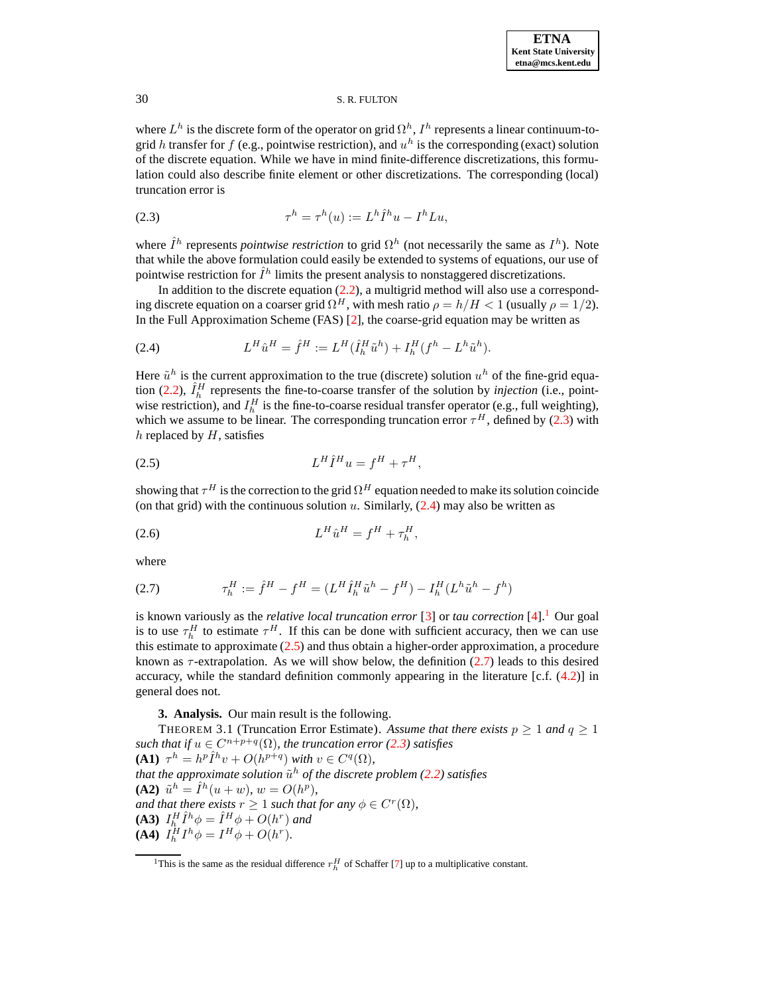where  $L^h$  is the discrete form of the operator on grid  $\Omega^h$ ,  $I^h$  represents a linear continuum-togrid h transfer for f (e.g., pointwise restriction), and  $u^h$  is the corresponding (exact) solution of the discrete equation. While we have in mind finite-difference discretizations, this formulation could also describe finite element or other discretizations. The corresponding (local) truncation error is

<span id="page-1-1"></span>
$$
(2.3) \t\t\t \tau^h = \tau^h(u) := L^h \hat{I}^h u - I^h L u,
$$

where  $\hat{I}^h$  represents *pointwise restriction* to grid  $\Omega^h$  (not necessarily the same as  $I^h$ ). Note that while the above formulation could easily be extended to systems of equations, our use of pointwise restriction for  $\hat{I}^h$  limits the present analysis to nonstaggered discretizations.

In addition to the discrete equation  $(2.2)$ , a multigrid method will also use a corresponding discrete equation on a coarser grid  $\Omega^H$ , with mesh ratio  $\rho = h/H < 1$  (usually  $\rho = 1/2$ ). In the Full Approximation Scheme (FAS) [\[2\]](#page-8-0), the coarse-grid equation may be written as

<span id="page-1-2"></span>(2.4) 
$$
L^H \hat{u}^H = \hat{f}^H := L^H(\hat{I}_h^H \tilde{u}^h) + I_h^H(f^h - L^h \tilde{u}^h).
$$

Here  $\tilde{u}^h$  is the current approximation to the true (discrete) solution  $u^h$  of the fine-grid equa-tion [\(2.2\)](#page-0-2),  $\hat{I}_h^H$  represents the fine-to-coarse transfer of the solution by *injection* (i.e., pointwise restriction), and  $I_h^H$  is the fine-to-coarse residual transfer operator (e.g., full weighting), which we assume to be linear. The corresponding truncation error  $\tau^H$ , defined by [\(2.3\)](#page-1-1) with  $h$  replaced by  $H$ , satisfies

<span id="page-1-4"></span>
$$
(2.5) \tLH \hat{I}H u = fH + \tauH,
$$

showing that  $\tau^H$  is the correction to the grid  $\Omega^H$  equation needed to make its solution coincide (on that grid) with the continuous solution u. Similarly,  $(2.4)$  may also be written as

(2.6) 
$$
L^H \hat{u}^H = f^H + \tau_h^H,
$$

<span id="page-1-5"></span>where

(2.7) 
$$
\tau_h^H := \hat{f}^H - f^H = (L^H \hat{I}_h^H \tilde{u}^h - f^H) - I_h^H (L^h \tilde{u}^h - f^h)
$$

is known variously as the *relative local truncation error* [\[3\]](#page-8-2) or *tau correction* [\[4\]](#page-8-1).[1](#page-1-3) Our goal is to use  $\tau_h^H$  to estimate  $\tau^H$ . If this can be done with sufficient accuracy, then we can use this estimate to approximate  $(2.5)$  and thus obtain a higher-order approximation, a procedure known as  $\tau$ -extrapolation. As we will show below, the definition [\(2.7\)](#page-1-5) leads to this desired accuracy, while the standard definition commonly appearing in the literature [c.f.  $(4.2)$ ] in general does not.

# **3. Analysis.** Our main result is the following.

<span id="page-1-6"></span><span id="page-1-0"></span>THEOREM 3.1 (Truncation Error Estimate). Assume that there exists  $p \ge 1$  and  $q \ge 1$ *such that if*  $u \in C^{n+p+q}(\Omega)$ *, the truncation error* [\(2.3\)](#page-1-1) *satisfies* **(A1)**  $\tau^h = h^p \hat{I}^h v + O(h^{p+q})$  *with*  $v \in C^q(\Omega)$ *, that the approximate solution*  $\tilde{u}^h$  *of the discrete problem [\(2.2\)](#page-0-2) satisfies* **(A2)**  $\tilde{u}^h = \hat{I}^h(u+w), w = O(h^p),$ *and that there exists*  $r \geq 1$  *such that for any*  $\phi \in C^r(\Omega)$ *,* **(A3)**  $I_{h_r}^H \hat{I}_{h_r}^h \phi = \hat{I}_{\mu_r}^H \phi + O(h^r)$  and **(A4)**  $I_h^H I^h \phi = I^H \phi + O(h^r)$ .

<span id="page-1-3"></span><sup>&</sup>lt;sup>1</sup>This is the same as the residual difference  $r_h^H$  of Schaffer [\[7\]](#page-8-5) up to a multiplicative constant.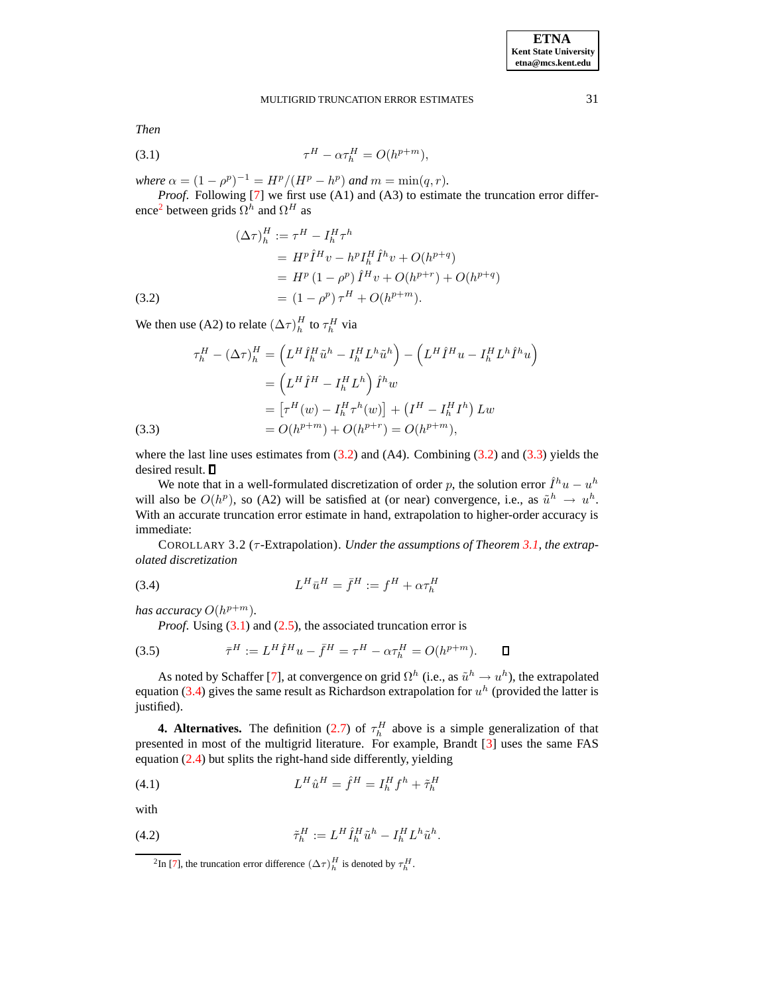<span id="page-2-5"></span>*Then*

$$
\tau^H - \alpha \tau_h^H = O(h^{p+m}),
$$

*where*  $\alpha = (1 - \rho^p)^{-1} = H^p / (H^p - h^p)$  *and*  $m = \min(q, r)$ *.* 

*Proof*. Following [\[7\]](#page-8-5) we first use (A1) and (A3) to estimate the truncation error differ-ence<sup>[2](#page-2-2)</sup> between grids  $\Omega^h$  and  $\Omega^H$  as

<span id="page-2-3"></span>(3.2)  
\n
$$
(\Delta \tau)^{H}_{h} := \tau^{H} - I_{h}^{H} \tau^{h}
$$
\n
$$
= H^{p} \hat{I}^{H} v - h^{p} I_{h}^{H} \hat{I}^{h} v + O(h^{p+q})
$$
\n
$$
= H^{p} (1 - \rho^{p}) \hat{I}^{H} v + O(h^{p+r}) + O(h^{p+q})
$$
\n
$$
= (1 - \rho^{p}) \tau^{H} + O(h^{p+m}).
$$

We then use (A2) to relate  $(\Delta \tau)_h^H$  to  $\tau_h^H$  via

<span id="page-2-4"></span>(3.3)  
\n
$$
\tau_h^H - (\Delta \tau)_h^H = \left( L^H \hat{I}_h^H \tilde{u}^h - I_h^H L^h \tilde{u}^h \right) - \left( L^H \hat{I}^H u - I_h^H L^h \hat{I}^h u \right)
$$
\n
$$
= \left( L^H \hat{I}^H - I_h^H L^h \right) \hat{I}^h w
$$
\n
$$
= \left[ \tau^H (w) - I_h^H \tau^h (w) \right] + \left( I^H - I_h^H I^h \right) L w
$$
\n
$$
= O(h^{p+m}) + O(h^{p+r}) = O(h^{p+m}),
$$

where the last line uses estimates from  $(3.2)$  and  $(A4)$ . Combining  $(3.2)$  and  $(3.3)$  yields the desired result.  $\square$ 

We note that in a well-formulated discretization of order p, the solution error  $\hat{I}^h u - u^h$ will also be  $O(h^p)$ , so (A2) will be satisfied at (or near) convergence, i.e., as  $\tilde{u}^h \to u^h$ . With an accurate truncation error estimate in hand, extrapolation to higher-order accuracy is immediate:

COROLLARY 3.2 (τ -Extrapolation). *Under the assumptions of Theorem [3.1,](#page-1-6) the extrapolated discretization*

<span id="page-2-6"></span>
$$
(3.4) \tLH \bar{u}^H = \bar{f}^H := f^H + \alpha \tau_h^H
$$

has accuracy  $O(h^{p+m})$ .

*Proof.* Using [\(3.1\)](#page-2-5) and [\(2.5\)](#page-1-4), the associated truncation error is

<span id="page-2-8"></span>(3.5) 
$$
\bar{\tau}^H := L^H \hat{I}^H u - \bar{f}^H = \tau^H - \alpha \tau_h^H = O(h^{p+m}). \qquad \Box
$$

As noted by Schaffer [\[7\]](#page-8-5), at convergence on grid  $\Omega^h$  (i.e., as  $\tilde{u}^h \to u^h$ ), the extrapolated equation [\(3.4\)](#page-2-6) gives the same result as Richardson extrapolation for  $u^h$  (provided the latter is justified).

<span id="page-2-0"></span>**4. Alternatives.** The definition [\(2.7\)](#page-1-5) of  $\tau_h^H$  above is a simple generalization of that presented in most of the multigrid literature. For example, Brandt [\[3\]](#page-8-2) uses the same FAS equation [\(2.4\)](#page-1-2) but splits the right-hand side differently, yielding

<span id="page-2-7"></span>(4.1) 
$$
L^H \hat{u}^H = \hat{f}^H = I_h^H f^h + \tilde{\tau}_h^H
$$

with

<span id="page-2-2"></span>(4.2) 
$$
\tilde{\tau}_h^H := L^H \hat{I}_h^H \tilde{u}^h - I_h^H L^h \tilde{u}^h.
$$

<span id="page-2-1"></span><sup>&</sup>lt;sup>2</sup>In [\[7\]](#page-8-5), the truncation error difference  $(\Delta \tau)_h^H$  is denoted by  $\tau_h^H$ .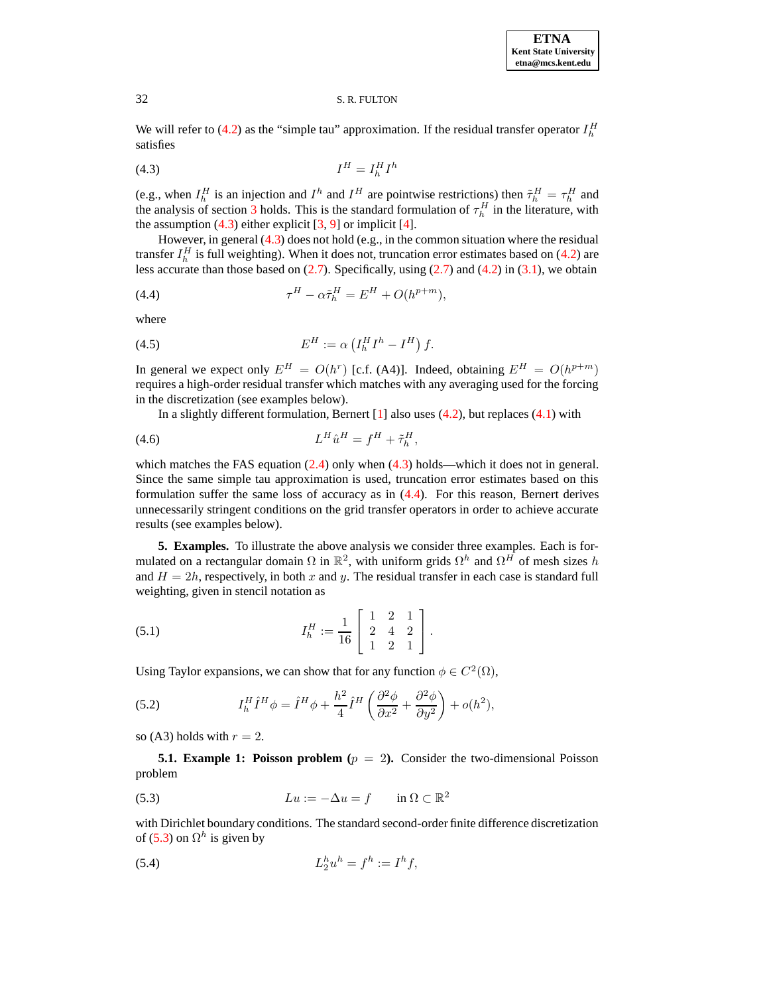We will refer to [\(4.2\)](#page-2-1) as the "simple tau" approximation. If the residual transfer operator  $I_h^H$ satisfies

<span id="page-3-1"></span>
$$
(4.3)\t\t\t I^H = I_h^H I^h
$$

(e.g., when  $I_h^H$  is an injection and  $I^h$  and  $I^H$  are pointwise restrictions) then  $\tilde{\tau}_h^H = \tau_h^H$  and the analysis of section [3](#page-1-0) holds. This is the standard formulation of  $\tau_h^H$  in the literature, with the assumption  $(4.3)$  either explicit  $[3, 9]$  $[3, 9]$  $[3, 9]$  or implicit  $[4]$ .

However, in general [\(4.3\)](#page-3-1) does not hold (e.g., in the common situation where the residual transfer  $I_h^H$  is full weighting). When it does not, truncation error estimates based on [\(4.2\)](#page-2-1) are less accurate than those based on  $(2.7)$ . Specifically, using  $(2.7)$  and  $(4.2)$  in  $(3.1)$ , we obtain

<span id="page-3-2"></span>
$$
(4.4) \t\t \tau^H - \alpha \tilde{\tau}_h^H = E^H + O(h^{p+m}),
$$

<span id="page-3-6"></span>where

$$
(4.5) \t\t\t EH := \alpha \left( I_h^H I^h - I^H \right) f.
$$

In general we expect only  $E^H = O(h^r)$  [c.f. (A4)]. Indeed, obtaining  $E^H = O(h^{p+m})$ requires a high-order residual transfer which matches with any averaging used for the forcing in the discretization (see examples below).

In a slightly different formulation, Bernert  $[1]$  also uses  $(4.2)$ , but replaces  $(4.1)$  with

$$
(4.6) \t\t\t\t L^H \hat{u}^H = f^H + \tilde{\tau}_h^H,
$$

which matches the FAS equation  $(2.4)$  only when  $(4.3)$  holds—which it does not in general. Since the same simple tau approximation is used, truncation error estimates based on this formulation suffer the same loss of accuracy as in [\(4.4\)](#page-3-2). For this reason, Bernert derives unnecessarily stringent conditions on the grid transfer operators in order to achieve accurate results (see examples below).

<span id="page-3-0"></span>**5. Examples.** To illustrate the above analysis we consider three examples. Each is formulated on a rectangular domain  $\Omega$  in  $\mathbb{R}^2$ , with uniform grids  $\Omega^h$  and  $\Omega^H$  of mesh sizes h and  $H = 2h$ , respectively, in both x and y. The residual transfer in each case is standard full weighting, given in stencil notation as

(5.1) 
$$
I_h^H := \frac{1}{16} \begin{bmatrix} 1 & 2 & 1 \\ 2 & 4 & 2 \\ 1 & 2 & 1 \end{bmatrix}.
$$

Using Taylor expansions, we can show that for any function  $\phi \in C^2(\Omega)$ ,

<span id="page-3-4"></span>(5.2) 
$$
I_h^H \hat{I}^H \phi = \hat{I}^H \phi + \frac{h^2}{4} \hat{I}^H \left( \frac{\partial^2 \phi}{\partial x^2} + \frac{\partial^2 \phi}{\partial y^2} \right) + o(h^2),
$$

so (A3) holds with  $r = 2$ .

**5.1. Example 1: Poisson problem** ( $p = 2$ ). Consider the two-dimensional Poisson problem

<span id="page-3-3"></span>(5.3) 
$$
Lu := -\Delta u = f \quad \text{in } \Omega \subset \mathbb{R}^2
$$

with Dirichlet boundary conditions. The standard second-order finite difference discretization of [\(5.3\)](#page-3-3) on  $\Omega^h$  is given by

<span id="page-3-5"></span>(5.4) 
$$
L_2^h u^h = f^h := I^h f,
$$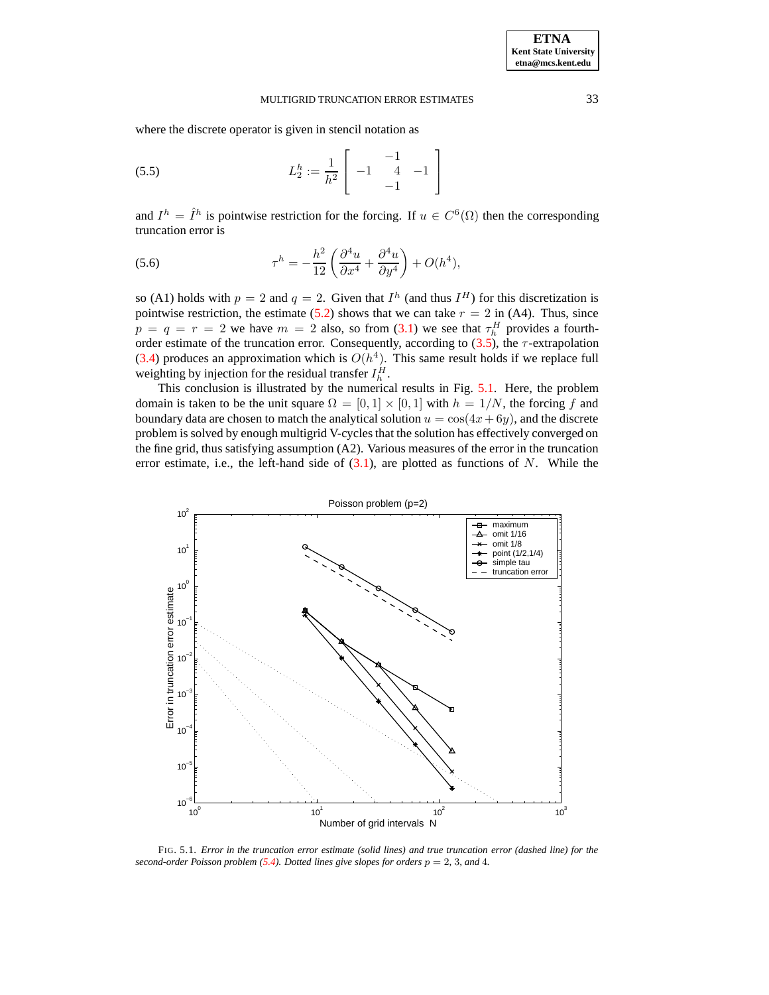where the discrete operator is given in stencil notation as

(5.5) 
$$
L_2^h := \frac{1}{h^2} \begin{bmatrix} -1 & 1 \\ -1 & 4 & -1 \\ -1 & 0 & 0 \end{bmatrix}
$$

and  $I^h = \hat{I}^h$  is pointwise restriction for the forcing. If  $u \in C^6(\Omega)$  then the corresponding truncation error is

(5.6) 
$$
\tau^h = -\frac{h^2}{12} \left( \frac{\partial^4 u}{\partial x^4} + \frac{\partial^4 u}{\partial y^4} \right) + O(h^4),
$$

so (A1) holds with  $p = 2$  and  $q = 2$ . Given that  $I<sup>h</sup>$  (and thus  $I<sup>H</sup>$ ) for this discretization is pointwise restriction, the estimate [\(5.2\)](#page-3-4) shows that we can take  $r = 2$  in (A4). Thus, since  $p = q = r = 2$  we have  $m = 2$  also, so from [\(3.1\)](#page-2-5) we see that  $\tau_h^H$  provides a fourthorder estimate of the truncation error. Consequently, according to  $(3.5)$ , the  $\tau$ -extrapolation [\(3.4\)](#page-2-6) produces an approximation which is  $O(h^4)$ . This same result holds if we replace full weighting by injection for the residual transfer  $I_h^H$ .

This conclusion is illustrated by the numerical results in Fig. [5.1.](#page-4-0) Here, the problem domain is taken to be the unit square  $\Omega = [0, 1] \times [0, 1]$  with  $h = 1/N$ , the forcing f and boundary data are chosen to match the analytical solution  $u = \cos(4x + 6y)$ , and the discrete problem is solved by enough multigrid V-cycles that the solution has effectively converged on the fine grid, thus satisfying assumption (A2). Various measures of the error in the truncation error estimate, i.e., the left-hand side of  $(3.1)$ , are plotted as functions of N. While the



<span id="page-4-0"></span>FIG. 5.1. *Error in the truncation error estimate (solid lines) and true truncation error (dashed line) for the second-order Poisson problem* [\(5.4\)](#page-3-5)*. Dotted lines give slopes for orders*  $p = 2$ , 3*, and* 4*.*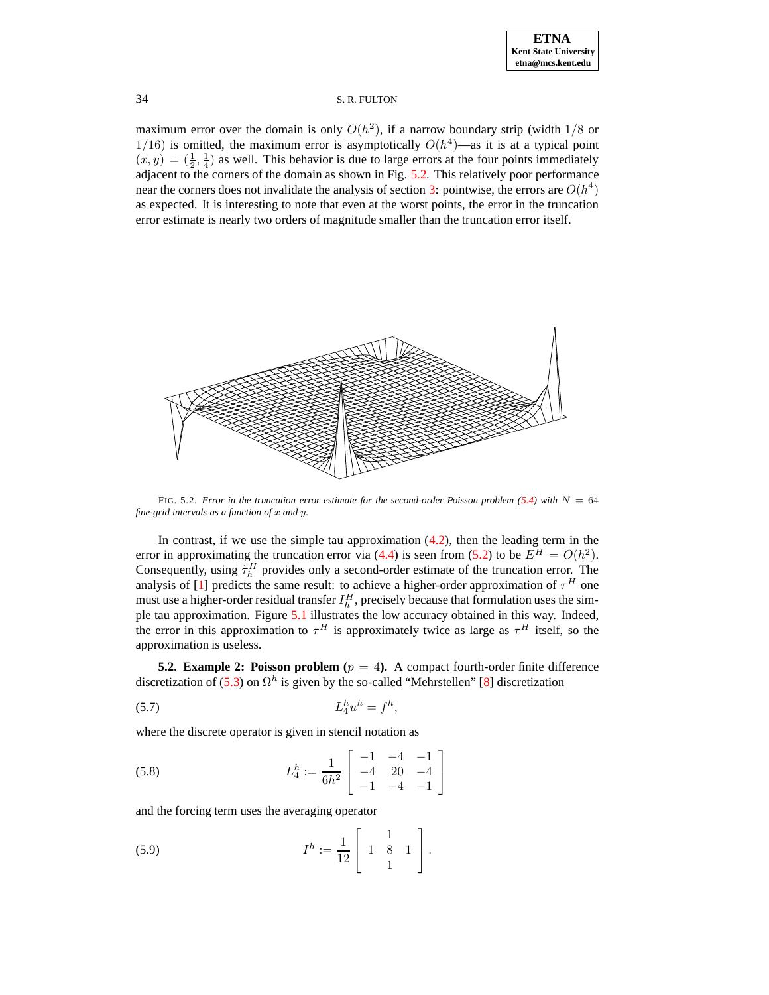maximum error over the domain is only  $O(h^2)$ , if a narrow boundary strip (width  $1/8$  or 1/16) is omitted, the maximum error is asymptotically  $O(h^4)$ —as it is at a typical point  $(x, y) = (\frac{1}{2}, \frac{1}{4})$  as well. This behavior is due to large errors at the four points immediately adjacent to the corners of the domain as shown in Fig.  $5.2$ . This relatively poor performance near the corners does not invalidate the analysis of section [3:](#page-1-0) pointwise, the errors are  $O(h^4)$ as expected. It is interesting to note that even at the worst points, the error in the truncation error estimate is nearly two orders of magnitude smaller than the truncation error itself.



<span id="page-5-0"></span>FIG. 5.2. *Error* in the truncation error estimate for the second-order Poisson problem  $(5.4)$  with  $N = 64$ *fine-grid intervals as a function of* x *and* y*.*

In contrast, if we use the simple tau approximation  $(4.2)$ , then the leading term in the error in approximating the truncation error via [\(4.4\)](#page-3-2) is seen from [\(5.2\)](#page-3-4) to be  $E^H = O(h^2)$ . Consequently, using  $\tilde{\tau}_h^H$  provides only a second-order estimate of the truncation error. The analysis of [\[1\]](#page-8-4) predicts the same result: to achieve a higher-order approximation of  $\tau^H$  one must use a higher-order residual transfer  $I_h^H$ , precisely because that formulation uses the simple tau approximation. Figure [5.1](#page-4-0) illustrates the low accuracy obtained in this way. Indeed, the error in this approximation to  $\tau^H$  is approximately twice as large as  $\tau^H$  itself, so the approximation is useless.

**5.2. Example 2: Poisson problem** ( $p = 4$ ). A compact fourth-order finite difference discretization of [\(5.3\)](#page-3-3) on  $\Omega^h$  is given by the so-called "Mehrstellen" [\[8\]](#page-8-8) discretization

<span id="page-5-1"></span>
$$
(5.7) \t\t\t L_4^h u^h = f^h,
$$

where the discrete operator is given in stencil notation as

(5.8) 
$$
L_4^h := \frac{1}{6h^2} \begin{bmatrix} -1 & -4 & -1 \\ -4 & 20 & -4 \\ -1 & -4 & -1 \end{bmatrix}
$$

and the forcing term uses the averaging operator

(5.9) 
$$
I^{h} := \frac{1}{12} \left[ \begin{array}{rr} 1 & 1 \\ 1 & 8 \\ 1 & 1 \end{array} \right].
$$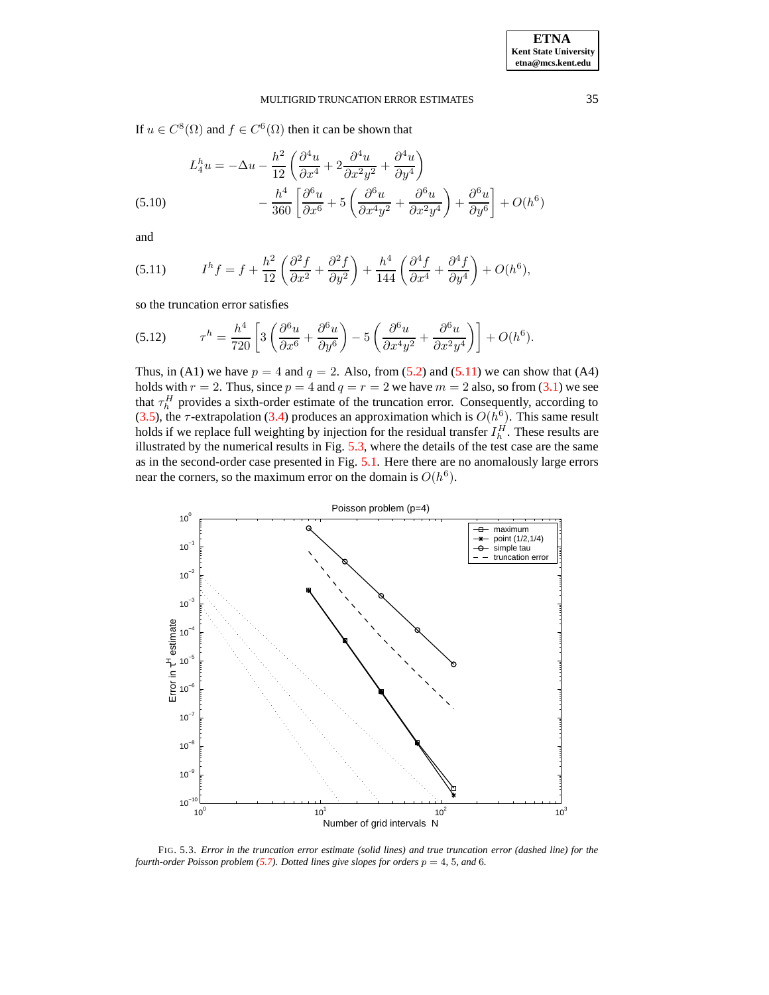If  $u \in C^{8}(\Omega)$  and  $f \in C^{6}(\Omega)$  then it can be shown that

$$
L_4^h u = -\Delta u - \frac{h^2}{12} \left( \frac{\partial^4 u}{\partial x^4} + 2 \frac{\partial^4 u}{\partial x^2 y^2} + \frac{\partial^4 u}{\partial y^4} \right)
$$
  
(5.10) 
$$
- \frac{h^4}{360} \left[ \frac{\partial^6 u}{\partial x^6} + 5 \left( \frac{\partial^6 u}{\partial x^4 y^2} + \frac{\partial^6 u}{\partial x^2 y^4} \right) + \frac{\partial^6 u}{\partial y^6} \right] + O(h^6)
$$

and

<span id="page-6-0"></span>(5.11) 
$$
I^{h} f = f + \frac{h^{2}}{12} \left( \frac{\partial^{2} f}{\partial x^{2}} + \frac{\partial^{2} f}{\partial y^{2}} \right) + \frac{h^{4}}{144} \left( \frac{\partial^{4} f}{\partial x^{4}} + \frac{\partial^{4} f}{\partial y^{4}} \right) + O(h^{6}),
$$

so the truncation error satisfies

$$
(5.12) \t\tau^h = \frac{h^4}{720} \left[ 3 \left( \frac{\partial^6 u}{\partial x^6} + \frac{\partial^6 u}{\partial y^6} \right) - 5 \left( \frac{\partial^6 u}{\partial x^4 y^2} + \frac{\partial^6 u}{\partial x^2 y^4} \right) \right] + O(h^6).
$$

Thus, in (A1) we have  $p = 4$  and  $q = 2$ . Also, from [\(5.2\)](#page-3-4) and [\(5.11\)](#page-6-0) we can show that (A4) holds with  $r = 2$ . Thus, since  $p = 4$  and  $q = r = 2$  we have  $m = 2$  also, so from [\(3.1\)](#page-2-5) we see that  $\tau_h^H$  provides a sixth-order estimate of the truncation error. Consequently, according to [\(3.5\)](#page-2-8), the  $\tau$ -extrapolation [\(3.4\)](#page-2-6) produces an approximation which is  $O(h^6)$ . This same result holds if we replace full weighting by injection for the residual transfer  $I_h^H$ . These results are illustrated by the numerical results in Fig. [5.3,](#page-6-1) where the details of the test case are the same as in the second-order case presented in Fig. [5.1.](#page-4-0) Here there are no anomalously large errors near the corners, so the maximum error on the domain is  $O(h^6)$ .



<span id="page-6-1"></span>FIG. 5.3. *Error in the truncation error estimate (solid lines) and true truncation error (dashed line) for the fourth-order Poisson problem* [\(5.7\)](#page-5-1). Dotted lines give slopes for orders  $p = 4$ , 5, and 6.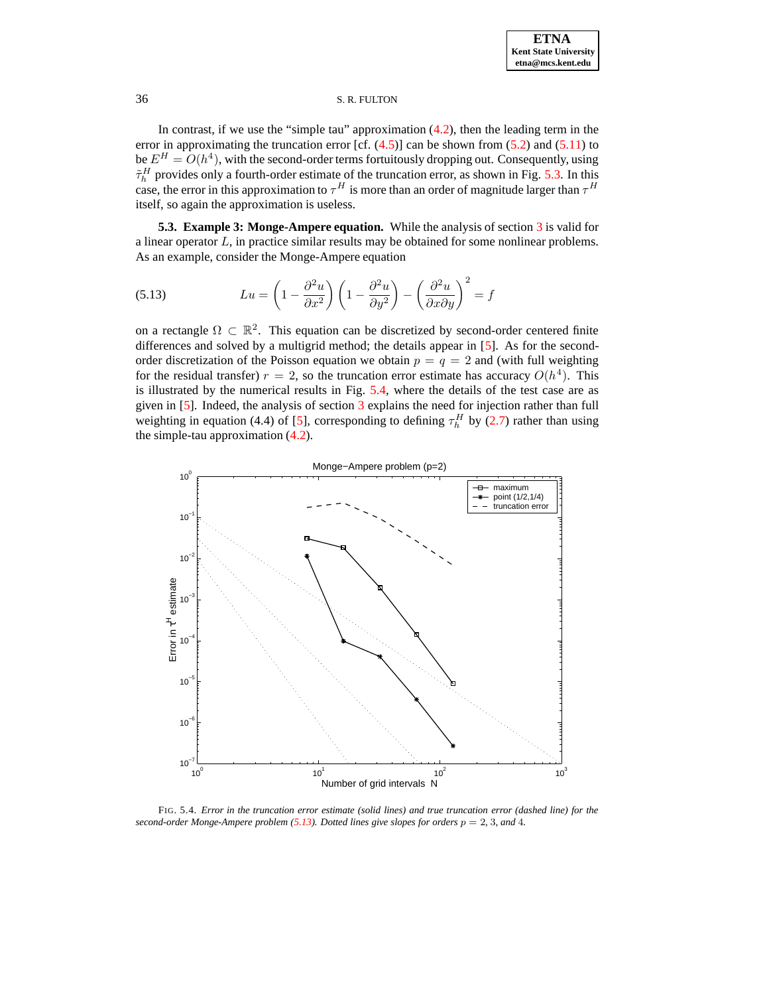In contrast, if we use the "simple tau" approximation  $(4.2)$ , then the leading term in the error in approximating the truncation error [cf.  $(4.5)$ ] can be shown from  $(5.2)$  and  $(5.11)$  to be  $E^H = O(h^4)$ , with the second-order terms fortuitously dropping out. Consequently, using  $\tilde{\tau}_h^H$  provides only a fourth-order estimate of the truncation error, as shown in Fig. [5.3.](#page-6-1) In this case, the error in this approximation to  $\tau^H$  is more than an order of magnitude larger than  $\tau^H$ itself, so again the approximation is useless.

**5.3. Example 3: Monge-Ampere equation.** While the analysis of section [3](#page-1-0) is valid for a linear operator L, in practice similar results may be obtained for some nonlinear problems. As an example, consider the Monge-Ampere equation

<span id="page-7-1"></span>(5.13) 
$$
Lu = \left(1 - \frac{\partial^2 u}{\partial x^2}\right) \left(1 - \frac{\partial^2 u}{\partial y^2}\right) - \left(\frac{\partial^2 u}{\partial x \partial y}\right)^2 = f
$$

on a rectangle  $\Omega \subset \mathbb{R}^2$ . This equation can be discretized by second-order centered finite differences and solved by a multigrid method; the details appear in [\[5\]](#page-8-9). As for the secondorder discretization of the Poisson equation we obtain  $p = q = 2$  and (with full weighting for the residual transfer)  $r = 2$ , so the truncation error estimate has accuracy  $O(h^4)$ . This is illustrated by the numerical results in Fig. [5.4,](#page-7-0) where the details of the test case are as given in [\[5\]](#page-8-9). Indeed, the analysis of section [3](#page-1-0) explains the need for injection rather than full weighting in equation (4.4) of [\[5\]](#page-8-9), corresponding to defining  $\tau_h^H$  by [\(2.7\)](#page-1-5) rather than using the simple-tau approximation [\(4.2\)](#page-2-1).



<span id="page-7-0"></span>FIG. 5.4. *Error in the truncation error estimate (solid lines) and true truncation error (dashed line) for the second-order Monge-Ampere problem* [\(5.13\)](#page-7-1)*.* Dotted lines give slopes for orders  $p = 2$ , 3, and 4.